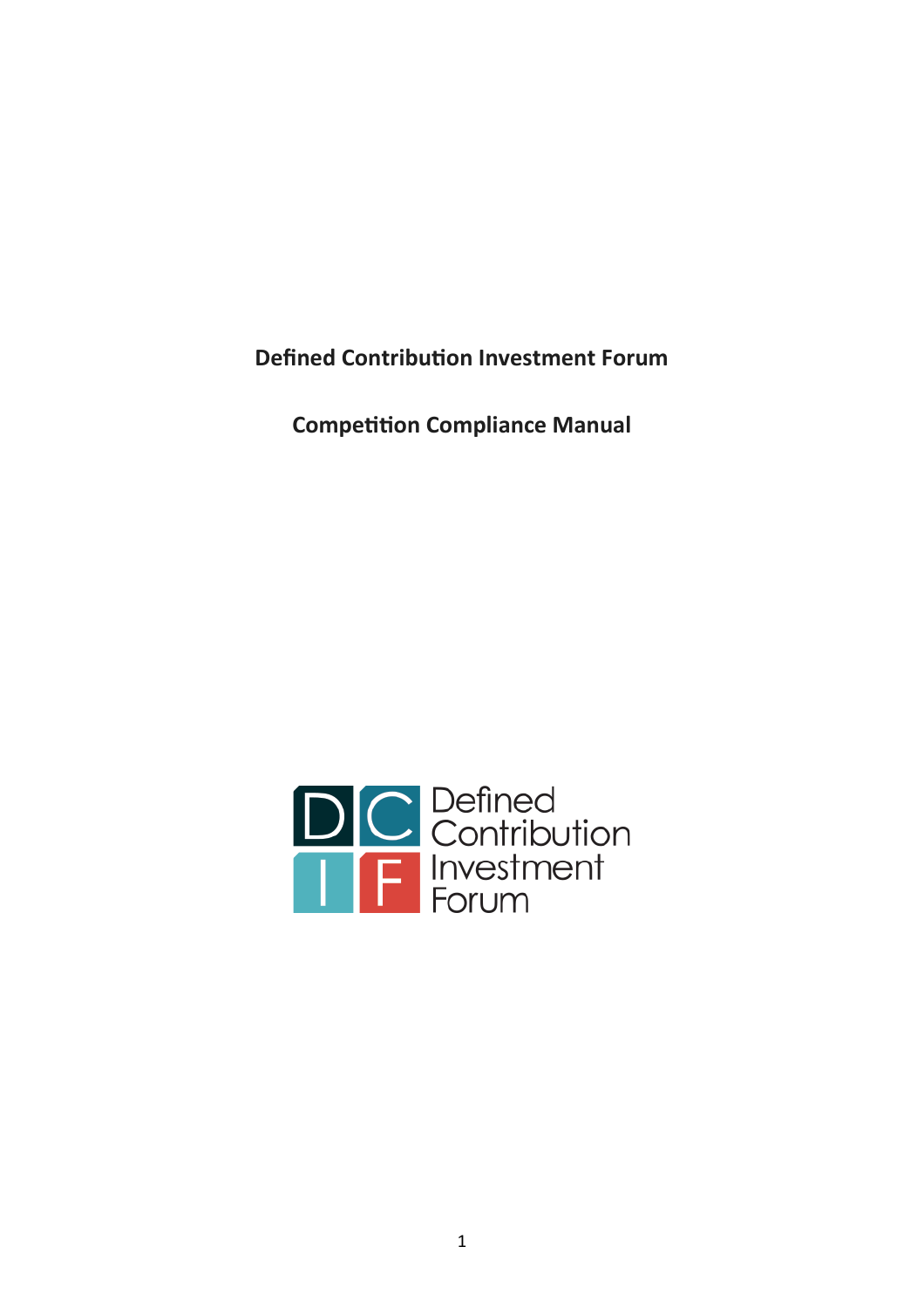**Defined Contribution Investment Forum**

**Competition Compliance Manual**

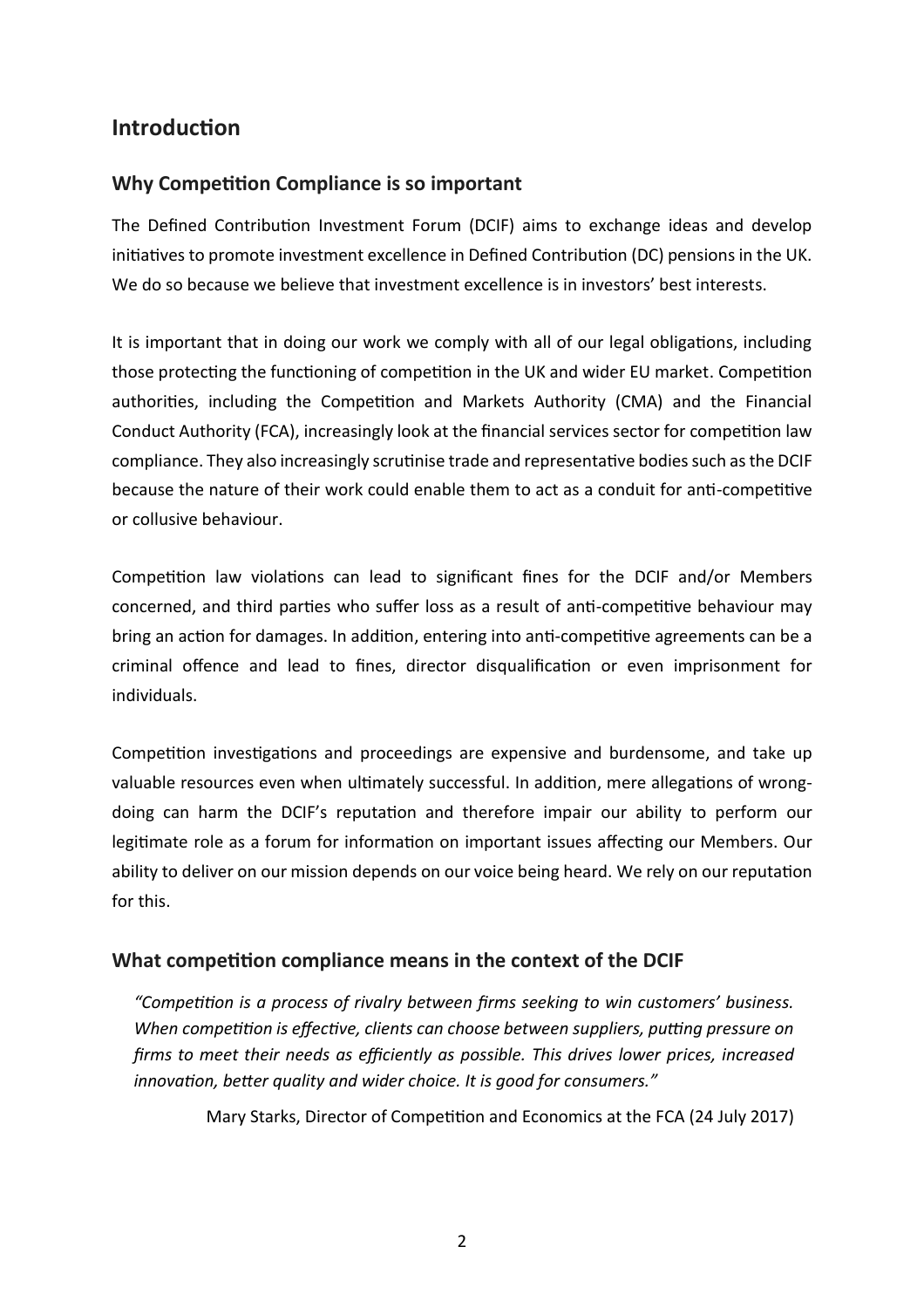# **Introduction**

## **Why Competition Compliance is so important**

The Defined Contribution Investment Forum (DCIF) aims to exchange ideas and develop initiatives to promote investment excellence in Defined Contribution (DC) pensions in the UK. We do so because we believe that investment excellence is in investors' best interests.

It is important that in doing our work we comply with all of our legal obligations, including those protecting the functioning of competition in the UK and wider EU market. Competition authorities, including the Competition and Markets Authority (CMA) and the Financial Conduct Authority (FCA), increasingly look at the financial services sector for competition law compliance. They also increasingly scrutinise trade and representative bodies such as the DCIF because the nature of their work could enable them to act as a conduit for anti-competitive or collusive behaviour.

Competition law violations can lead to significant fines for the DCIF and/or Members concerned, and third parties who suffer loss as a result of anti-competitive behaviour may bring an action for damages. In addition, entering into anti-competitive agreements can be a criminal offence and lead to fines, director disqualification or even imprisonment for individuals.

Competition investigations and proceedings are expensive and burdensome, and take up valuable resources even when ultimately successful. In addition, mere allegations of wrongdoing can harm the DCIF's reputation and therefore impair our ability to perform our legitimate role as a forum for information on important issues affecting our Members. Our ability to deliver on our mission depends on our voice being heard. We rely on our reputation for this.

# **What competition compliance means in the context of the DCIF**

*"Competition is a process of rivalry between firms seeking to win customers' business. When competition is effective, clients can choose between suppliers, putting pressure on firms to meet their needs as efficiently as possible. This drives lower prices, increased innovation, better quality and wider choice. It is good for consumers."*

Mary Starks, Director of Competition and Economics at the FCA (24 July 2017)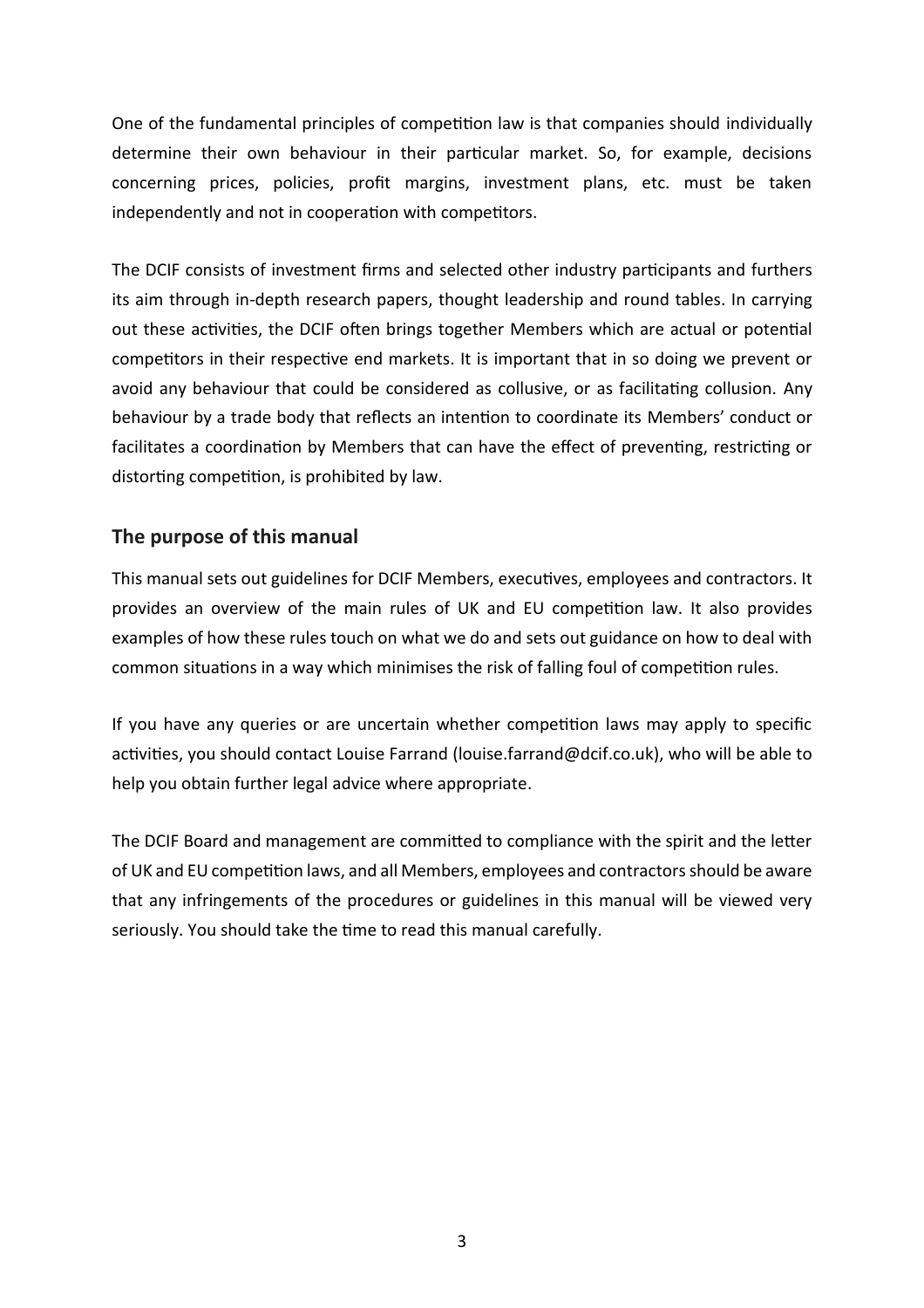One of the fundamental principles of competition law is that companies should individually determine their own behaviour in their particular market. So, for example, decisions concerning prices, policies, profit margins, investment plans, etc. must be taken independently and not in cooperation with competitors.

The DCIF consists of investment firms and selected other industry participants and furthers its aim through in-depth research papers, thought leadership and round tables. In carrying out these activities, the DCIF often brings together Members which are actual or potential competitors in their respective end markets. It is important that in so doing we prevent or avoid any behaviour that could be considered as collusive, or as facilitating collusion. Any behaviour by a trade body that reflects an intention to coordinate its Members' conduct or facilitates a coordination by Members that can have the effect of preventing, restricting or distorting competition, is prohibited by law.

## **The purpose of this manual**

This manual sets out guidelines for DCIF Members, executives, employees and contractors. It provides an overview of the main rules of UK and EU competition law. It also provides examples of how these rules touch on what we do and sets out guidance on how to deal with common situations in a way which minimises the risk of falling foul of competition rules.

If you have any queries or are uncertain whether competition laws may apply to specific activities, you should contact Louise Farrand (louise.farrand@dcif.co.uk), who will be able to help you obtain further legal advice where appropriate.

The DCIF Board and management are committed to compliance with the spirit and the letter of UK and EU competition laws, and all Members, employees and contractors should be aware that any infringements of the procedures or guidelines in this manual will be viewed very seriously. You should take the time to read this manual carefully.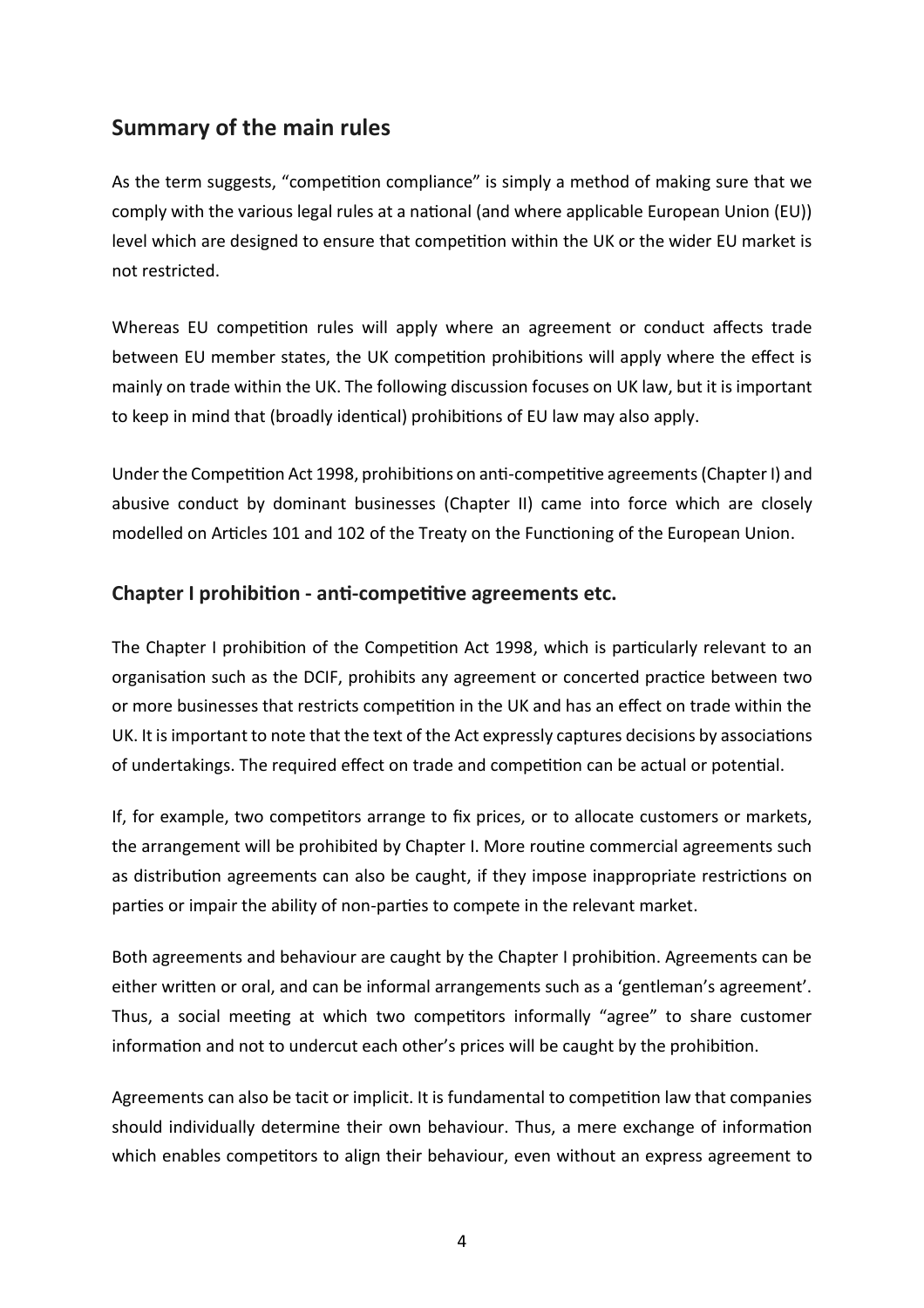# **Summary of the main rules**

As the term suggests, "competition compliance" is simply a method of making sure that we comply with the various legal rules at a national (and where applicable European Union (EU)) level which are designed to ensure that competition within the UK or the wider EU market is not restricted.

Whereas EU competition rules will apply where an agreement or conduct affects trade between EU member states, the UK competition prohibitions will apply where the effect is mainly on trade within the UK. The following discussion focuses on UK law, but it is important to keep in mind that (broadly identical) prohibitions of EU law may also apply.

Under the Competition Act 1998, prohibitions on anti-competitive agreements (Chapter I) and abusive conduct by dominant businesses (Chapter II) came into force which are closely modelled on Articles 101 and 102 of the Treaty on the Functioning of the European Union.

### **Chapter I prohibition - anti-competitive agreements etc.**

The Chapter I prohibition of the Competition Act 1998, which is particularly relevant to an organisation such as the DCIF, prohibits any agreement or concerted practice between two or more businesses that restricts competition in the UK and has an effect on trade within the UK. It is important to note that the text of the Act expressly captures decisions by associations of undertakings. The required effect on trade and competition can be actual or potential.

If, for example, two competitors arrange to fix prices, or to allocate customers or markets, the arrangement will be prohibited by Chapter I. More routine commercial agreements such as distribution agreements can also be caught, if they impose inappropriate restrictions on parties or impair the ability of non-parties to compete in the relevant market.

Both agreements and behaviour are caught by the Chapter I prohibition. Agreements can be either written or oral, and can be informal arrangements such as a 'gentleman's agreement'. Thus, a social meeting at which two competitors informally "agree" to share customer information and not to undercut each other's prices will be caught by the prohibition.

Agreements can also be tacit or implicit. It is fundamental to competition law that companies should individually determine their own behaviour. Thus, a mere exchange of information which enables competitors to align their behaviour, even without an express agreement to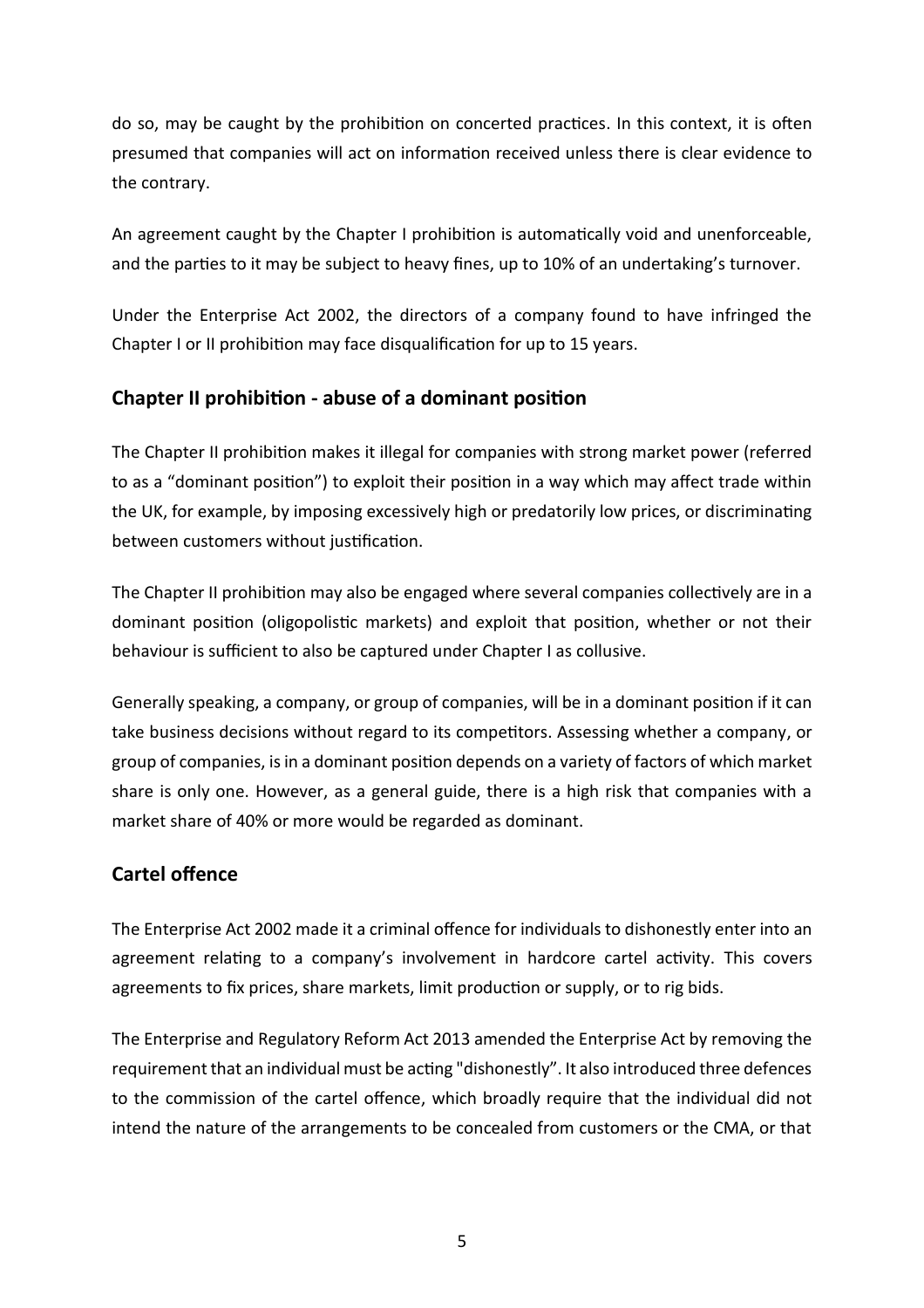do so, may be caught by the prohibition on concerted practices. In this context, it is often presumed that companies will act on information received unless there is clear evidence to the contrary.

An agreement caught by the Chapter I prohibition is automatically void and unenforceable, and the parties to it may be subject to heavy fines, up to 10% of an undertaking's turnover.

Under the Enterprise Act 2002, the directors of a company found to have infringed the Chapter I or II prohibition may face disqualification for up to 15 years.

# **Chapter II prohibition - abuse of a dominant position**

The Chapter II prohibition makes it illegal for companies with strong market power (referred to as a "dominant position") to exploit their position in a way which may affect trade within the UK, for example, by imposing excessively high or predatorily low prices, or discriminating between customers without justification.

The Chapter II prohibition may also be engaged where several companies collectively are in a dominant position (oligopolistic markets) and exploit that position, whether or not their behaviour is sufficient to also be captured under Chapter I as collusive.

Generally speaking, a company, or group of companies, will be in a dominant position if it can take business decisions without regard to its competitors. Assessing whether a company, or group of companies, is in a dominant position depends on a variety of factors of which market share is only one. However, as a general guide, there is a high risk that companies with a market share of 40% or more would be regarded as dominant.

# **Cartel offence**

The Enterprise Act 2002 made it a criminal offence for individuals to dishonestly enter into an agreement relating to a company's involvement in hardcore cartel activity. This covers agreements to fix prices, share markets, limit production or supply, or to rig bids.

The Enterprise and Regulatory Reform Act 2013 amended the Enterprise Act by removing the requirement that an individual must be acting "dishonestly". It also introduced three defences to the commission of the cartel offence, which broadly require that the individual did not intend the nature of the arrangements to be concealed from customers or the CMA, or that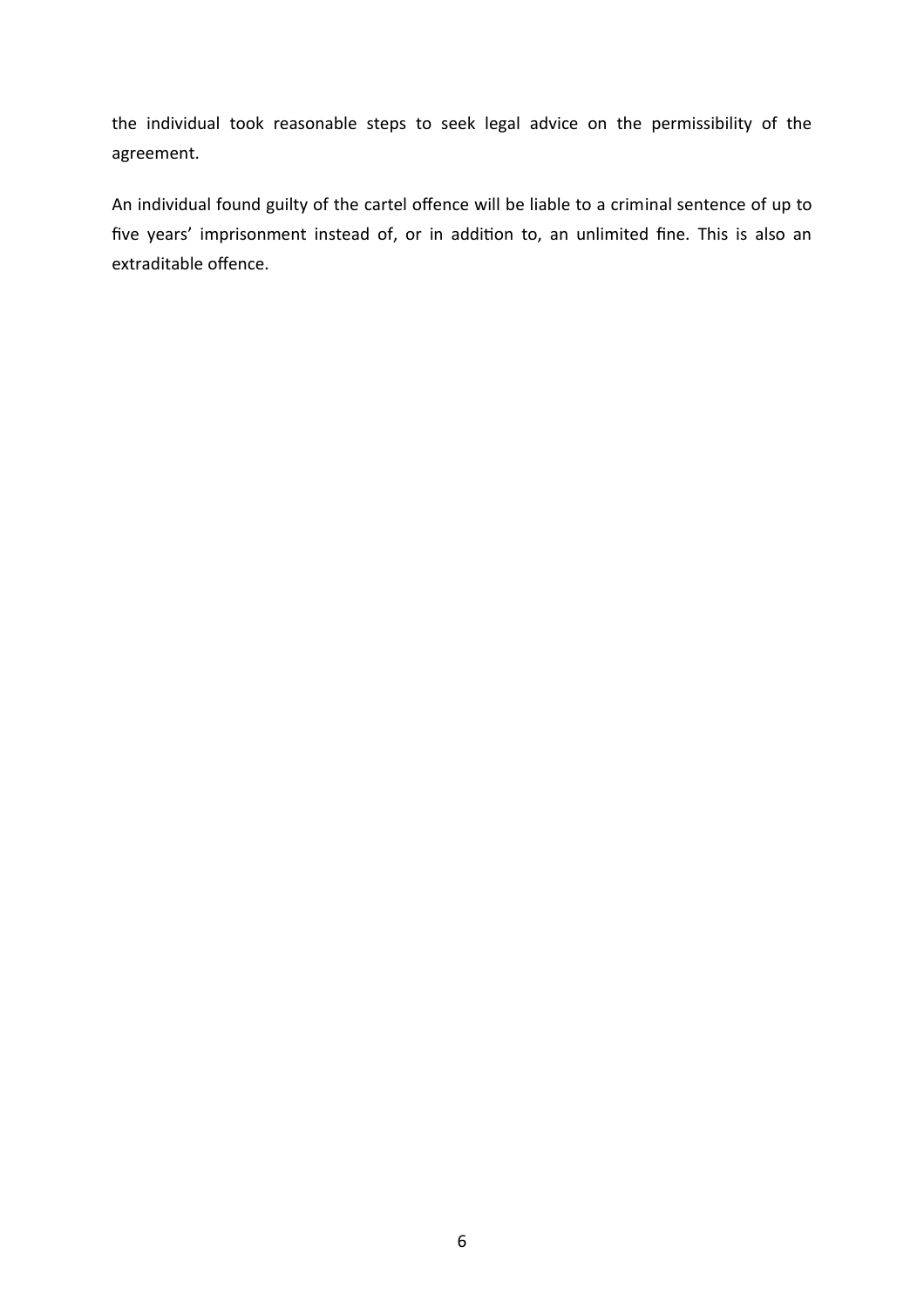the individual took reasonable steps to seek legal advice on the permissibility of the agreement.

An individual found guilty of the cartel offence will be liable to a criminal sentence of up to five years' imprisonment instead of, or in addition to, an unlimited fine. This is also an extraditable offence.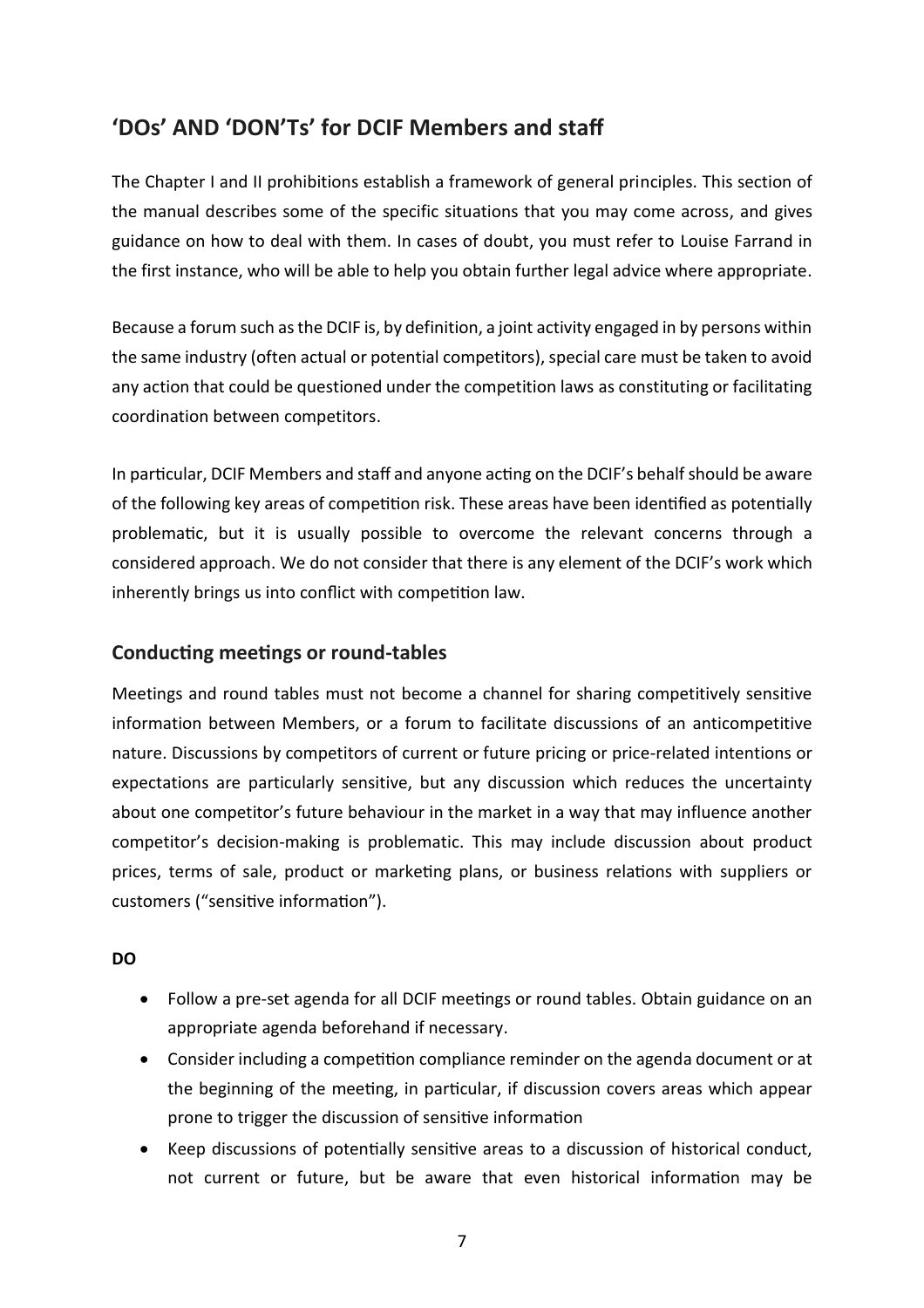# **'DOs' AND 'DON'Ts' for DCIF Members and staff**

The Chapter I and II prohibitions establish a framework of general principles. This section of the manual describes some of the specific situations that you may come across, and gives guidance on how to deal with them. In cases of doubt, you must refer to Louise Farrand in the first instance, who will be able to help you obtain further legal advice where appropriate.

Because a forum such as the DCIF is, by definition, a joint activity engaged in by persons within the same industry (often actual or potential competitors), special care must be taken to avoid any action that could be questioned under the competition laws as constituting or facilitating coordination between competitors.

In particular, DCIF Members and staff and anyone acting on the DCIF's behalf should be aware of the following key areas of competition risk. These areas have been identified as potentially problematic, but it is usually possible to overcome the relevant concerns through a considered approach. We do not consider that there is any element of the DCIF's work which inherently brings us into conflict with competition law.

### **Conducting meetings or round-tables**

Meetings and round tables must not become a channel for sharing competitively sensitive information between Members, or a forum to facilitate discussions of an anticompetitive nature. Discussions by competitors of current or future pricing or price-related intentions or expectations are particularly sensitive, but any discussion which reduces the uncertainty about one competitor's future behaviour in the market in a way that may influence another competitor's decision-making is problematic. This may include discussion about product prices, terms of sale, product or marketing plans, or business relations with suppliers or customers ("sensitive information").

### **DO**

- Follow a pre-set agenda for all DCIF meetings or round tables. Obtain guidance on an appropriate agenda beforehand if necessary.
- Consider including a competition compliance reminder on the agenda document or at the beginning of the meeting, in particular, if discussion covers areas which appear prone to trigger the discussion of sensitive information
- Keep discussions of potentially sensitive areas to a discussion of historical conduct, not current or future, but be aware that even historical information may be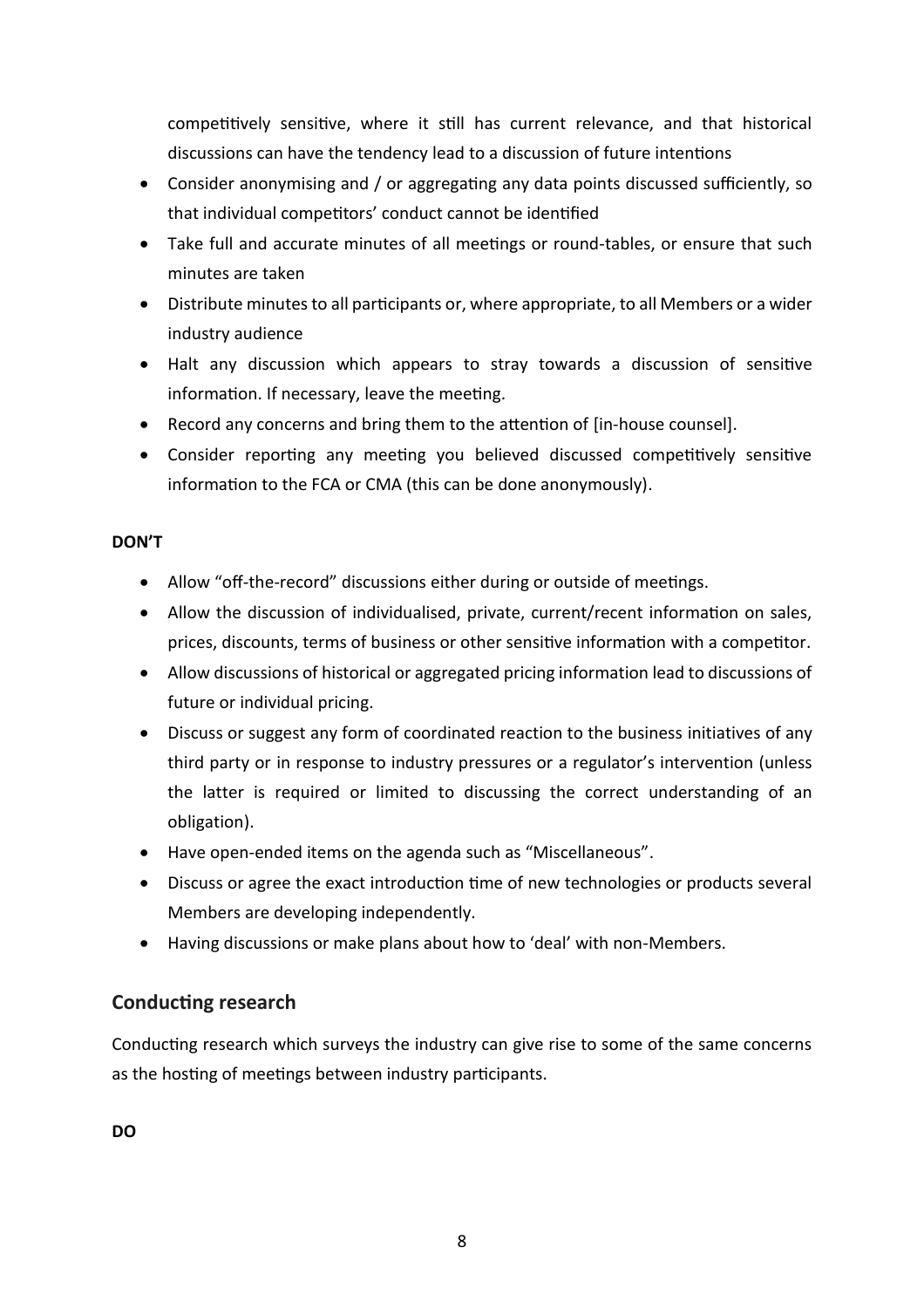competitively sensitive, where it still has current relevance, and that historical discussions can have the tendency lead to a discussion of future intentions

- Consider anonymising and / or aggregating any data points discussed sufficiently, so that individual competitors' conduct cannot be identified
- Take full and accurate minutes of all meetings or round-tables, or ensure that such minutes are taken
- Distribute minutes to all participants or, where appropriate, to all Members or a wider industry audience
- Halt any discussion which appears to stray towards a discussion of sensitive information. If necessary, leave the meeting.
- Record any concerns and bring them to the attention of [in-house counsel].
- Consider reporting any meeting you believed discussed competitively sensitive information to the FCA or CMA (this can be done anonymously).

### **DON'T**

- Allow "off-the-record" discussions either during or outside of meetings.
- Allow the discussion of individualised, private, current/recent information on sales, prices, discounts, terms of business or other sensitive information with a competitor.
- Allow discussions of historical or aggregated pricing information lead to discussions of future or individual pricing.
- Discuss or suggest any form of coordinated reaction to the business initiatives of any third party or in response to industry pressures or a regulator's intervention (unless the latter is required or limited to discussing the correct understanding of an obligation).
- Have open-ended items on the agenda such as "Miscellaneous".
- Discuss or agree the exact introduction time of new technologies or products several Members are developing independently.
- Having discussions or make plans about how to 'deal' with non-Members.

### **Conducting research**

Conducting research which surveys the industry can give rise to some of the same concerns as the hosting of meetings between industry participants.

**DO**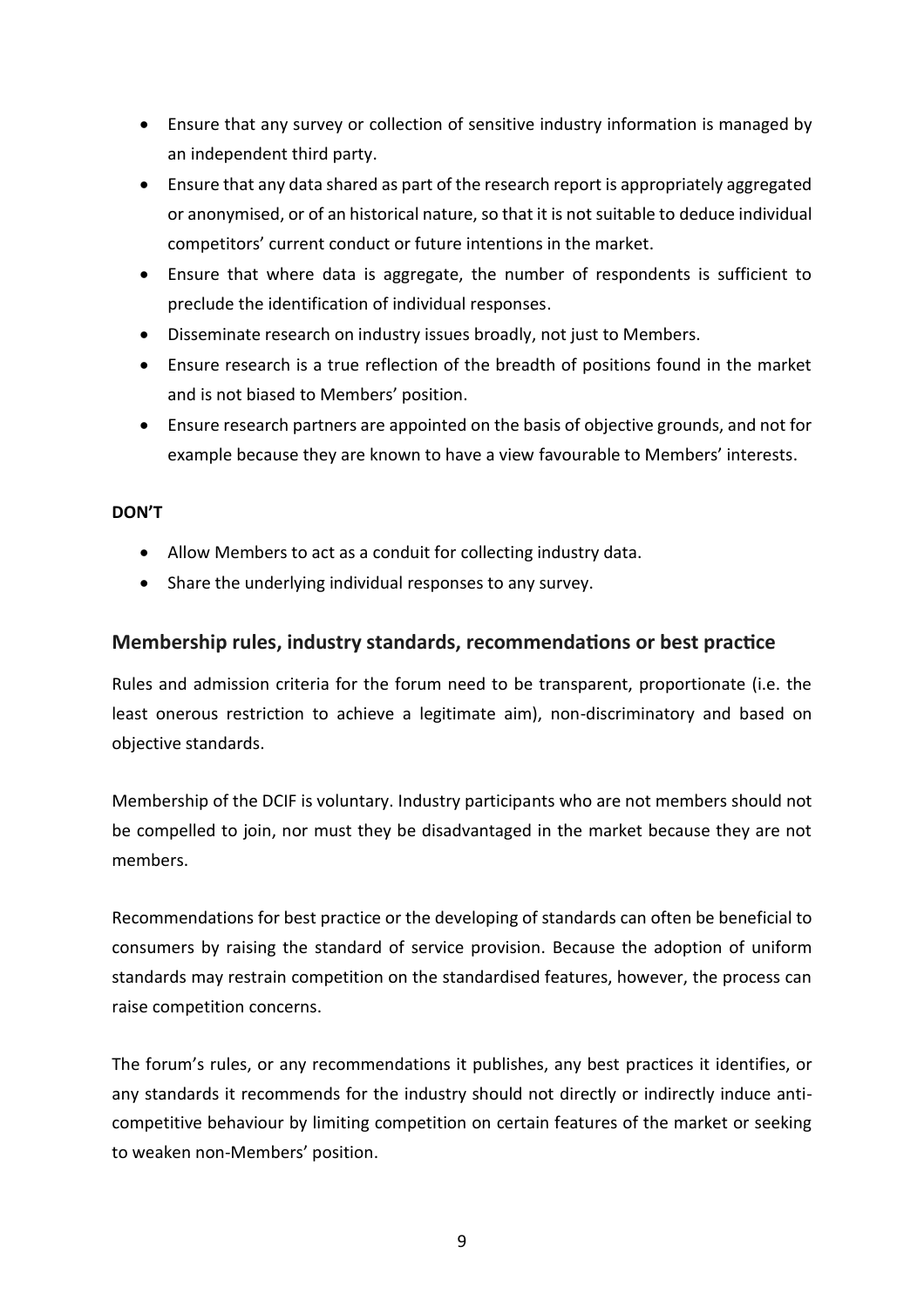- Ensure that any survey or collection of sensitive industry information is managed by an independent third party.
- Ensure that any data shared as part of the research report is appropriately aggregated or anonymised, or of an historical nature, so that it is not suitable to deduce individual competitors' current conduct or future intentions in the market.
- Ensure that where data is aggregate, the number of respondents is sufficient to preclude the identification of individual responses.
- Disseminate research on industry issues broadly, not just to Members.
- Ensure research is a true reflection of the breadth of positions found in the market and is not biased to Members' position.
- Ensure research partners are appointed on the basis of objective grounds, and not for example because they are known to have a view favourable to Members' interests.

### **DON'T**

- Allow Members to act as a conduit for collecting industry data.
- Share the underlying individual responses to any survey.

### **Membership rules, industry standards, recommendations or best practice**

Rules and admission criteria for the forum need to be transparent, proportionate (i.e. the least onerous restriction to achieve a legitimate aim), non-discriminatory and based on objective standards.

Membership of the DCIF is voluntary. Industry participants who are not members should not be compelled to join, nor must they be disadvantaged in the market because they are not members.

Recommendations for best practice or the developing of standards can often be beneficial to consumers by raising the standard of service provision. Because the adoption of uniform standards may restrain competition on the standardised features, however, the process can raise competition concerns.

The forum's rules, or any recommendations it publishes, any best practices it identifies, or any standards it recommends for the industry should not directly or indirectly induce anticompetitive behaviour by limiting competition on certain features of the market or seeking to weaken non-Members' position.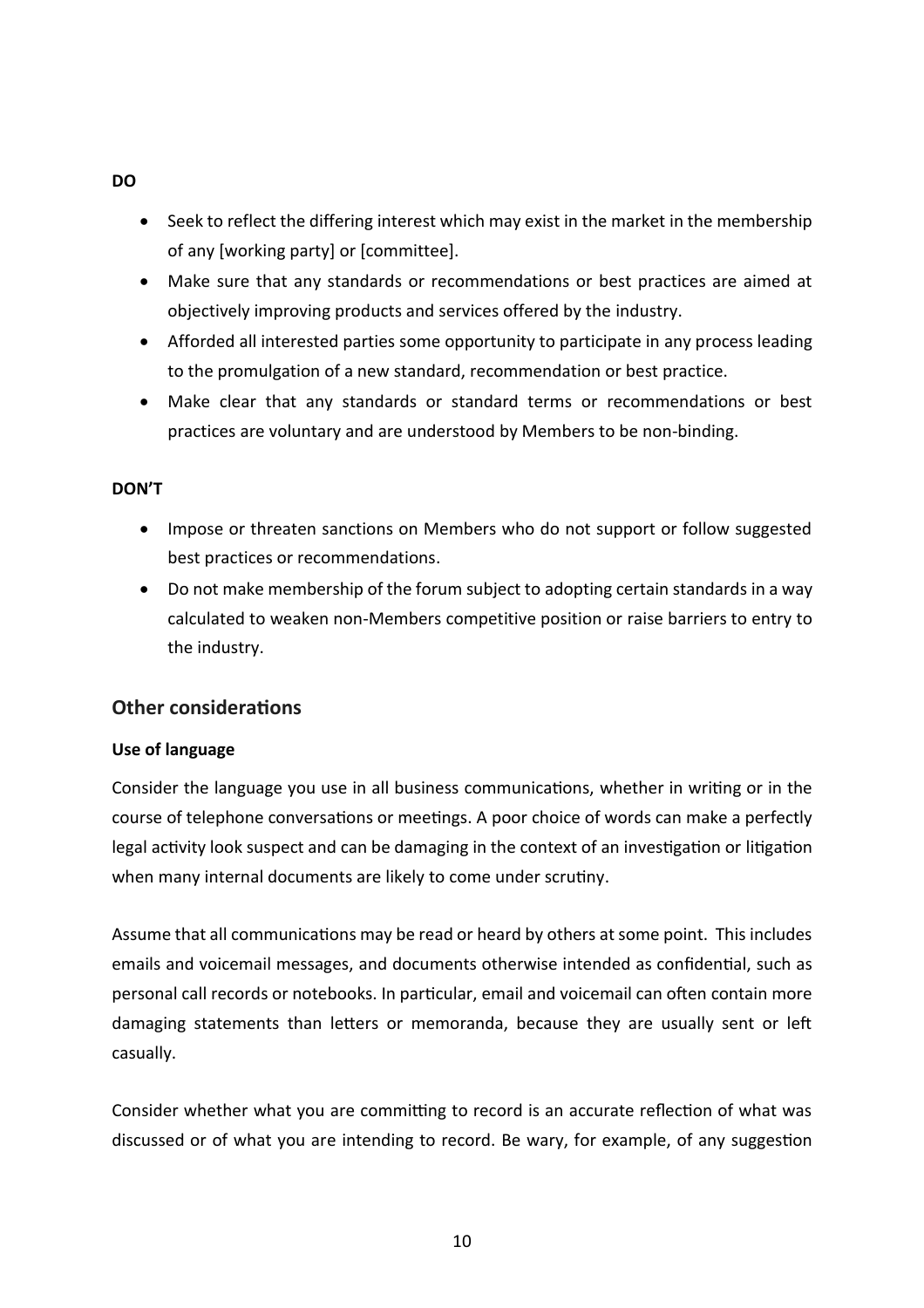#### **DO**

- Seek to reflect the differing interest which may exist in the market in the membership of any [working party] or [committee].
- Make sure that any standards or recommendations or best practices are aimed at objectively improving products and services offered by the industry.
- Afforded all interested parties some opportunity to participate in any process leading to the promulgation of a new standard, recommendation or best practice.
- Make clear that any standards or standard terms or recommendations or best practices are voluntary and are understood by Members to be non-binding.

### **DON'T**

- Impose or threaten sanctions on Members who do not support or follow suggested best practices or recommendations.
- Do not make membership of the forum subject to adopting certain standards in a way calculated to weaken non-Members competitive position or raise barriers to entry to the industry.

### **Other considerations**

#### **Use of language**

Consider the language you use in all business communications, whether in writing or in the course of telephone conversations or meetings. A poor choice of words can make a perfectly legal activity look suspect and can be damaging in the context of an investigation or litigation when many internal documents are likely to come under scrutiny.

Assume that all communications may be read or heard by others at some point. This includes emails and voicemail messages, and documents otherwise intended as confidential, such as personal call records or notebooks. In particular, email and voicemail can often contain more damaging statements than letters or memoranda, because they are usually sent or left casually.

Consider whether what you are committing to record is an accurate reflection of what was discussed or of what you are intending to record. Be wary, for example, of any suggestion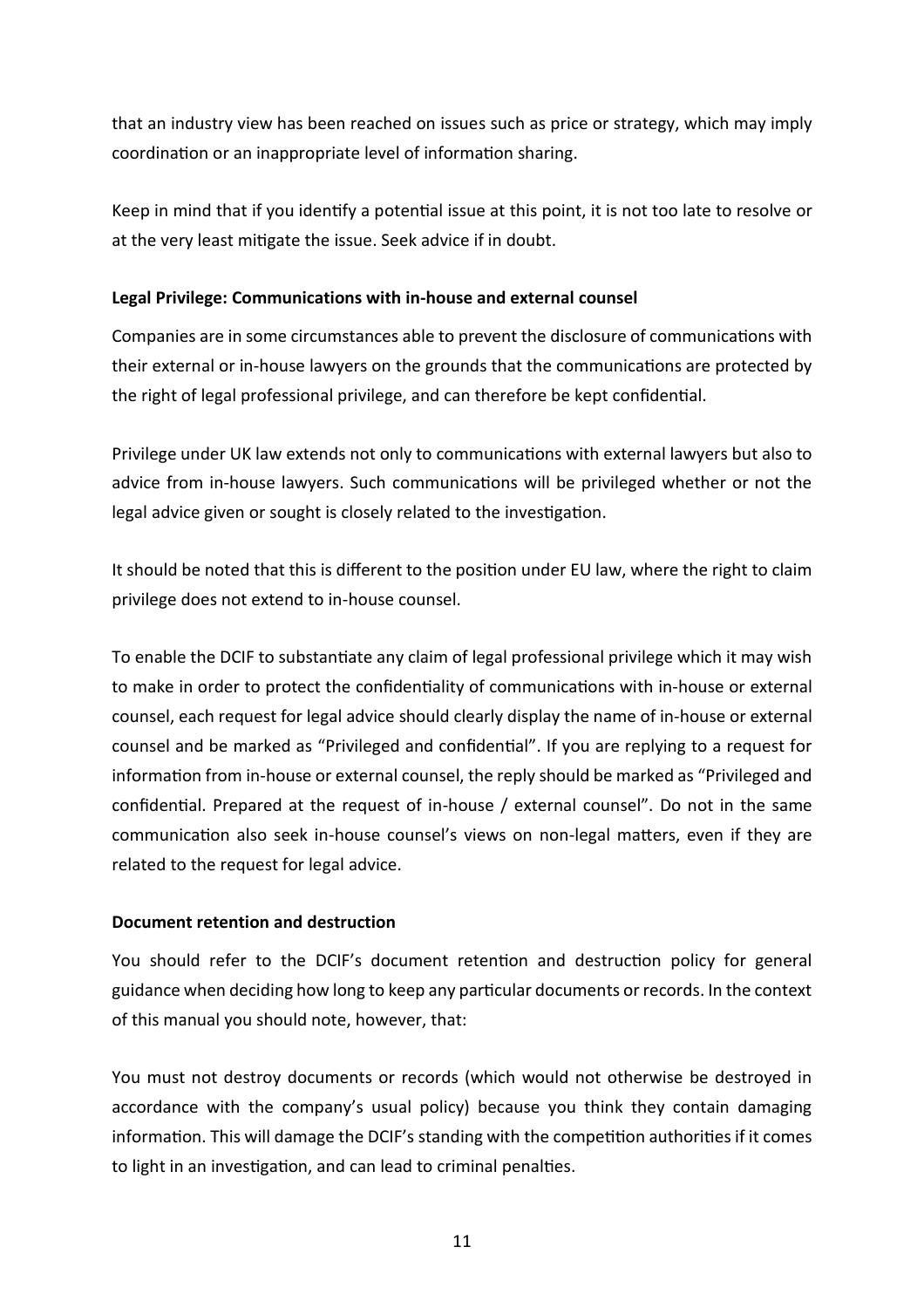that an industry view has been reached on issues such as price or strategy, which may imply coordination or an inappropriate level of information sharing.

Keep in mind that if you identify a potential issue at this point, it is not too late to resolve or at the very least mitigate the issue. Seek advice if in doubt.

### **Legal Privilege: Communications with in-house and external counsel**

Companies are in some circumstances able to prevent the disclosure of communications with their external or in-house lawyers on the grounds that the communications are protected by the right of legal professional privilege, and can therefore be kept confidential.

Privilege under UK law extends not only to communications with external lawyers but also to advice from in-house lawyers. Such communications will be privileged whether or not the legal advice given or sought is closely related to the investigation.

It should be noted that this is different to the position under EU law, where the right to claim privilege does not extend to in-house counsel.

To enable the DCIF to substantiate any claim of legal professional privilege which it may wish to make in order to protect the confidentiality of communications with in-house or external counsel, each request for legal advice should clearly display the name of in-house or external counsel and be marked as "Privileged and confidential". If you are replying to a request for information from in-house or external counsel, the reply should be marked as "Privileged and confidential. Prepared at the request of in-house / external counsel". Do not in the same communication also seek in-house counsel's views on non-legal matters, even if they are related to the request for legal advice.

#### **Document retention and destruction**

You should refer to the DCIF's document retention and destruction policy for general guidance when deciding how long to keep any particular documents or records. In the context of this manual you should note, however, that:

You must not destroy documents or records (which would not otherwise be destroyed in accordance with the company's usual policy) because you think they contain damaging information. This will damage the DCIF's standing with the competition authorities if it comes to light in an investigation, and can lead to criminal penalties.